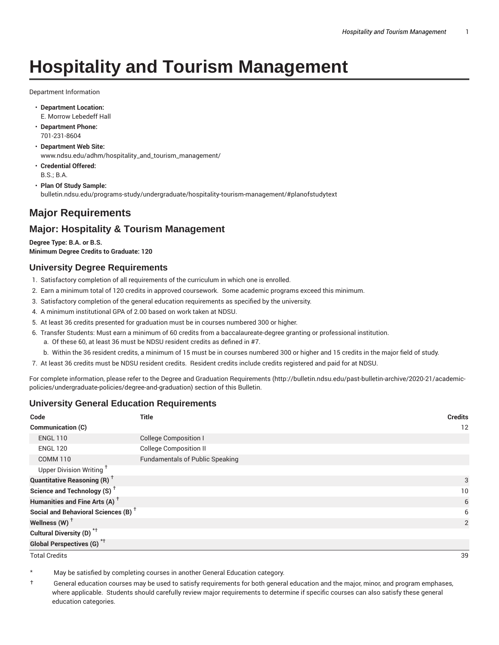# **Hospitality and Tourism Management**

Department Information

- **Department Location:** E. Morrow Lebedeff Hall
- **Department Phone:** 701-231-8604
- **Department Web Site:** www.ndsu.edu/adhm/hospitality\_and\_tourism\_management/
- **Credential Offered:** B.S.; B.A.
- **Plan Of Study Sample:** bulletin.ndsu.edu/programs-study/undergraduate/hospitality-tourism-management/#planofstudytext

## **Major Requirements**

## **Major: Hospitality & Tourism Management**

**Degree Type: B.A. or B.S. Minimum Degree Credits to Graduate: 120**

#### **University Degree Requirements**

- 1. Satisfactory completion of all requirements of the curriculum in which one is enrolled.
- 2. Earn a minimum total of 120 credits in approved coursework. Some academic programs exceed this minimum.
- 3. Satisfactory completion of the general education requirements as specified by the university.
- 4. A minimum institutional GPA of 2.00 based on work taken at NDSU.
- 5. At least 36 credits presented for graduation must be in courses numbered 300 or higher.
- 6. Transfer Students: Must earn a minimum of 60 credits from a baccalaureate-degree granting or professional institution.
	- a. Of these 60, at least 36 must be NDSU resident credits as defined in #7.
	- b. Within the 36 resident credits, a minimum of 15 must be in courses numbered 300 or higher and 15 credits in the major field of study.
- 7. At least 36 credits must be NDSU resident credits. Resident credits include credits registered and paid for at NDSU.

For complete information, please refer to the Degree and Graduation Requirements (http://bulletin.ndsu.edu/past-bulletin-archive/2020-21/academicpolicies/undergraduate-policies/degree-and-graduation) section of this Bulletin.

#### **University General Education Requirements**

| Code                                            | <b>Title</b>                           | <b>Credits</b> |
|-------------------------------------------------|----------------------------------------|----------------|
| Communication (C)                               |                                        | 12             |
| <b>ENGL 110</b>                                 | <b>College Composition I</b>           |                |
| <b>ENGL 120</b>                                 | <b>College Composition II</b>          |                |
| <b>COMM 110</b>                                 | <b>Fundamentals of Public Speaking</b> |                |
| Upper Division Writing <sup>+</sup>             |                                        |                |
| <b>Quantitative Reasoning (R)</b> <sup>†</sup>  |                                        | 3              |
| Science and Technology (S) <sup>+</sup>         |                                        | 10             |
| Humanities and Fine Arts (A) <sup>+</sup>       |                                        | 6              |
| Social and Behavioral Sciences (B) <sup>+</sup> |                                        | 6              |
| Wellness $(W)$ <sup>+</sup>                     |                                        | 2              |
| Cultural Diversity (D) <sup>*†</sup>            |                                        |                |
| <b>Global Perspectives (G)<sup>*†</sup></b>     |                                        |                |

Total Credits 39

May be satisfied by completing courses in another General Education category.

† General education courses may be used to satisfy requirements for both general education and the major, minor, and program emphases, where applicable. Students should carefully review major requirements to determine if specific courses can also satisfy these general education categories.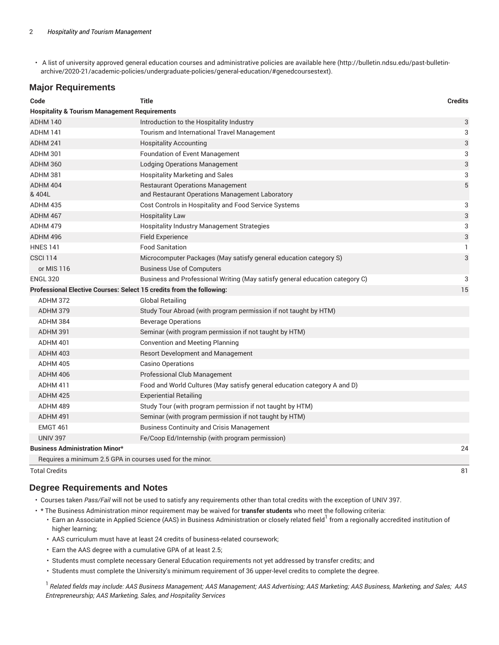• A list of university approved general education courses and administrative policies are available here (http://bulletin.ndsu.edu/past-bulletinarchive/2020-21/academic-policies/undergraduate-policies/general-education/#genedcoursestext).

#### **Major Requirements**

| Code                                                                 | <b>Title</b>                                                                 | <b>Credits</b>            |
|----------------------------------------------------------------------|------------------------------------------------------------------------------|---------------------------|
| <b>Hospitality &amp; Tourism Management Requirements</b>             |                                                                              |                           |
| ADHM 140                                                             | Introduction to the Hospitality Industry                                     | $\ensuremath{\mathsf{3}}$ |
| <b>ADHM 141</b>                                                      | Tourism and International Travel Management                                  | 3                         |
| ADHM 241                                                             | <b>Hospitality Accounting</b>                                                | 3                         |
| <b>ADHM 301</b>                                                      | Foundation of Event Management                                               | 3                         |
| <b>ADHM 360</b>                                                      | <b>Lodging Operations Management</b>                                         | 3                         |
| <b>ADHM 381</b>                                                      | <b>Hospitality Marketing and Sales</b>                                       | 3                         |
| ADHM 404                                                             | <b>Restaurant Operations Management</b>                                      | 5                         |
| & 404L                                                               | and Restaurant Operations Management Laboratory                              |                           |
| <b>ADHM 435</b>                                                      | Cost Controls in Hospitality and Food Service Systems                        | 3                         |
| ADHM 467                                                             | <b>Hospitality Law</b>                                                       | 3                         |
| ADHM 479                                                             | Hospitality Industry Management Strategies                                   | 3                         |
| ADHM 496                                                             | <b>Field Experience</b>                                                      | 3                         |
| <b>HNES 141</b>                                                      | <b>Food Sanitation</b>                                                       | $\mathbf{1}$              |
| <b>CSCI 114</b>                                                      | Microcomputer Packages (May satisfy general education category S)            | 3                         |
| or MIS 116                                                           | <b>Business Use of Computers</b>                                             |                           |
| <b>ENGL 320</b>                                                      | Business and Professional Writing (May satisfy general education category C) | 3                         |
| Professional Elective Courses: Select 15 credits from the following: |                                                                              | 15                        |
| ADHM 372                                                             | <b>Global Retailing</b>                                                      |                           |
| <b>ADHM 379</b>                                                      | Study Tour Abroad (with program permission if not taught by HTM)             |                           |
| <b>ADHM 384</b>                                                      | <b>Beverage Operations</b>                                                   |                           |
| ADHM 391                                                             | Seminar (with program permission if not taught by HTM)                       |                           |
| ADHM 401                                                             | <b>Convention and Meeting Planning</b>                                       |                           |
| <b>ADHM 403</b>                                                      | Resort Development and Management                                            |                           |
| ADHM 405                                                             | <b>Casino Operations</b>                                                     |                           |
| ADHM 406                                                             | Professional Club Management                                                 |                           |
| ADHM 411                                                             | Food and World Cultures (May satisfy general education category A and D)     |                           |
| ADHM 425                                                             | <b>Experiential Retailing</b>                                                |                           |
| ADHM 489                                                             | Study Tour (with program permission if not taught by HTM)                    |                           |
| ADHM 491                                                             | Seminar (with program permission if not taught by HTM)                       |                           |
| <b>EMGT 461</b>                                                      | <b>Business Continuity and Crisis Management</b>                             |                           |
| <b>UNIV 397</b>                                                      | Fe/Coop Ed/Internship (with program permission)                              |                           |
| <b>Business Administration Minor*</b>                                |                                                                              | 24                        |
| Requires a minimum 2.5 GPA in courses used for the minor.            |                                                                              |                           |
| <b>Total Credits</b>                                                 |                                                                              | 81                        |

#### **Degree Requirements and Notes**

- Courses taken *Pass/Fail* will not be used to satisfy any requirements other than total credits with the exception of UNIV 397.
- \* The Business Administration minor requirement may be waived for **transfer students** who meet the following criteria:
	- $\cdot$  Earn an Associate in Applied Science (AAS) in Business Administration or closely related field<sup>1</sup> from a regionally accredited institution of higher learning;
	- AAS curriculum must have at least 24 credits of business-related coursework;
	- Earn the AAS degree with a cumulative GPA of at least 2.5;
	- Students must complete necessary General Education requirements not yet addressed by transfer credits; and
	- Students must complete the University's minimum requirement of 36 upper-level credits to complete the degree.

<sup>1</sup> Related fields may include: AAS Business Management; AAS Management; AAS Advertising; AAS Marketing; AAS Business, Marketing, and Sales; AAS *Entrepreneurship; AAS Marketing, Sales, and Hospitality Services*